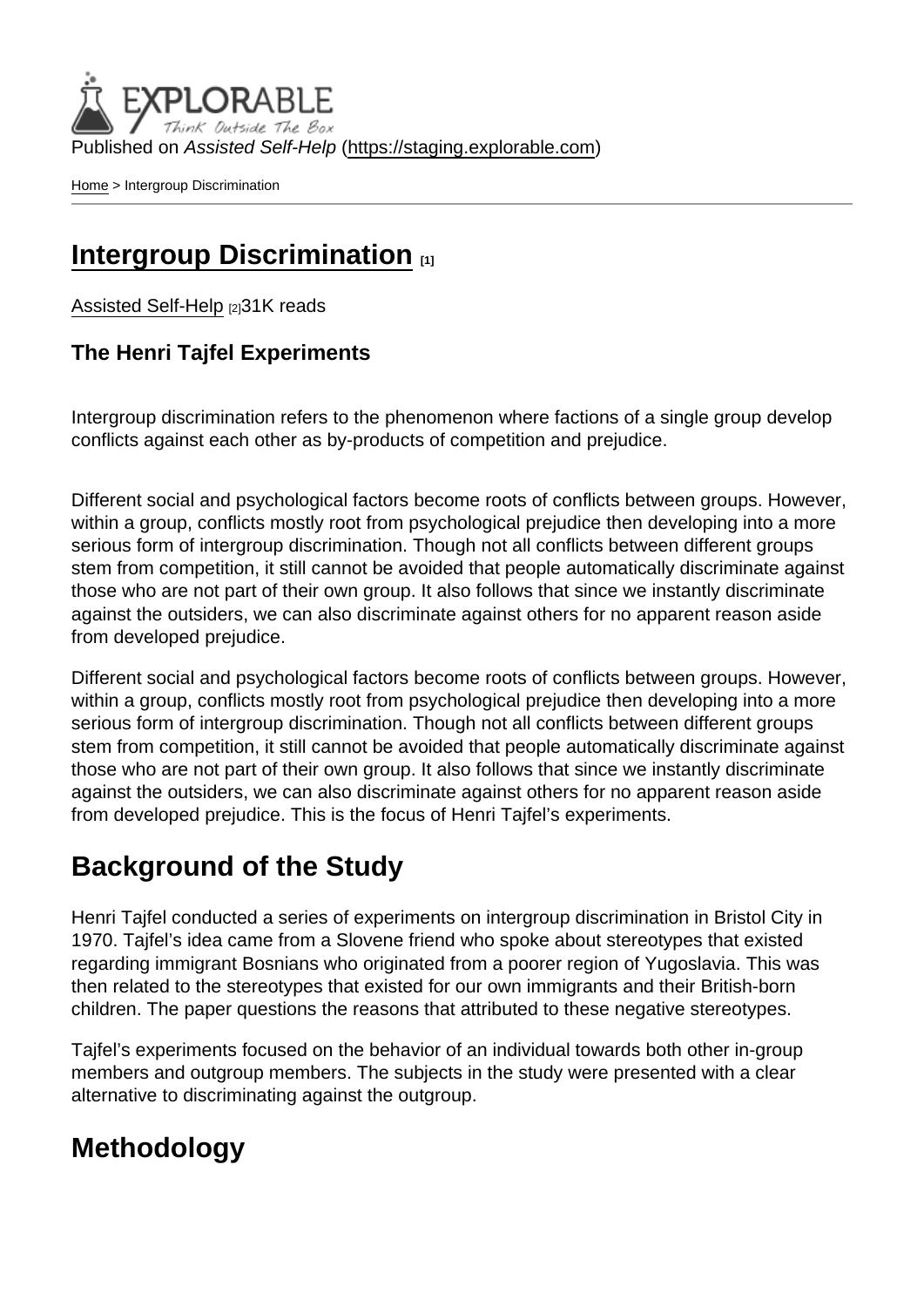Published on Assisted Self-Help [\(https://staging.explorable.com](https://staging.explorable.com))

[Home](https://staging.explorable.com/en) > Intergroup Discrimination

#### [Intergroup Discrimination](https://staging.explorable.com/en/intergroup-discrimination) [1]

[Assisted Self-Help](https://staging.explorable.com/en) [2] 31K reads

The Henri Tajfel Experiments

Intergroup discrimination refers to the phenomenon where factions of a single group develop conflicts against each other as by-products of competition and prejudice.

Different social and psychological factors become roots of conflicts between groups. However, within a group, conflicts mostly root from psychological prejudice then developing into a more serious form of intergroup discrimination. Though not all conflicts between different groups stem from competition, it still cannot be avoided that people automatically discriminate against those who are not part of their own group. It also follows that since we instantly discriminate against the outsiders, we can also discriminate against others for no apparent reason aside from developed prejudice.

Different social and psychological factors become roots of conflicts between groups. However, within a group, conflicts mostly root from psychological prejudice then developing into a more serious form of intergroup discrimination. Though not all conflicts between different groups stem from competition, it still cannot be avoided that people automatically discriminate against those who are not part of their own group. It also follows that since we instantly discriminate against the outsiders, we can also discriminate against others for no apparent reason aside from developed prejudice. This is the focus of Henri Tajfel's experiments.

# Background of the Study

Henri Tajfel conducted a series of experiments on intergroup discrimination in Bristol City in 1970. Tajfel's idea came from a Slovene friend who spoke about stereotypes that existed regarding immigrant Bosnians who originated from a poorer region of Yugoslavia. This was then related to the stereotypes that existed for our own immigrants and their British-born children. The paper questions the reasons that attributed to these negative stereotypes.

Tajfel's experiments focused on the behavior of an individual towards both other in-group members and outgroup members. The subjects in the study were presented with a clear alternative to discriminating against the outgroup.

## **Methodology**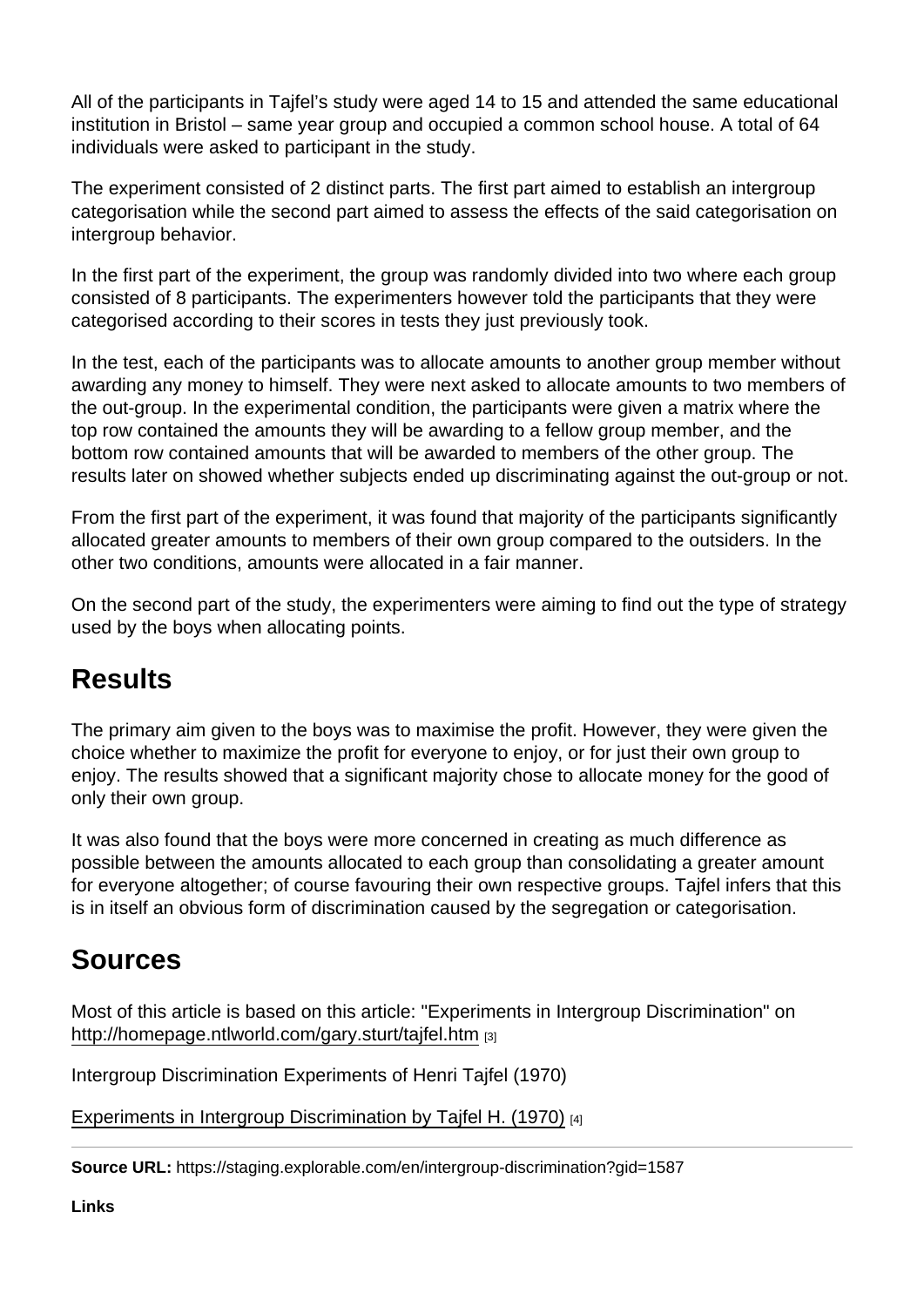All of the participants in Tajfel's study were aged 14 to 15 and attended the same educational institution in Bristol – same year group and occupied a common school house. A total of 64 individuals were asked to participant in the study.

The experiment consisted of 2 distinct parts. The first part aimed to establish an intergroup categorisation while the second part aimed to assess the effects of the said categorisation on intergroup behavior.

In the first part of the experiment, the group was randomly divided into two where each group consisted of 8 participants. The experimenters however told the participants that they were categorised according to their scores in tests they just previously took.

In the test, each of the participants was to allocate amounts to another group member without awarding any money to himself. They were next asked to allocate amounts to two members of the out-group. In the experimental condition, the participants were given a matrix where the top row contained the amounts they will be awarding to a fellow group member, and the bottom row contained amounts that will be awarded to members of the other group. The results later on showed whether subjects ended up discriminating against the out-group or not.

From the first part of the experiment, it was found that majority of the participants significantly allocated greater amounts to members of their own group compared to the outsiders. In the other two conditions, amounts were allocated in a fair manner.

On the second part of the study, the experimenters were aiming to find out the type of strategy used by the boys when allocating points.

#### **Results**

The primary aim given to the boys was to maximise the profit. However, they were given the choice whether to maximize the profit for everyone to enjoy, or for just their own group to enjoy. The results showed that a significant majority chose to allocate money for the good of only their own group.

It was also found that the boys were more concerned in creating as much difference as possible between the amounts allocated to each group than consolidating a greater amount for everyone altogether; of course favouring their own respective groups. Tajfel infers that this is in itself an obvious form of discrimination caused by the segregation or categorisation.

## Sources

Most of this article is based on this article: "Experiments in Intergroup Discrimination" on <http://homepage.ntlworld.com/gary.sturt/tajfel.htm> [3]

Intergroup Discrimination Experiments of Henri Tajfel (1970)

[Experiments in Intergroup Discrimination by Tajfel H. \(1970\)](http://www.holah.karoo.net/tajfestudy.htm) [4]

Source URL: https://staging.explorable.com/en/intergroup-discrimination?gid=1587